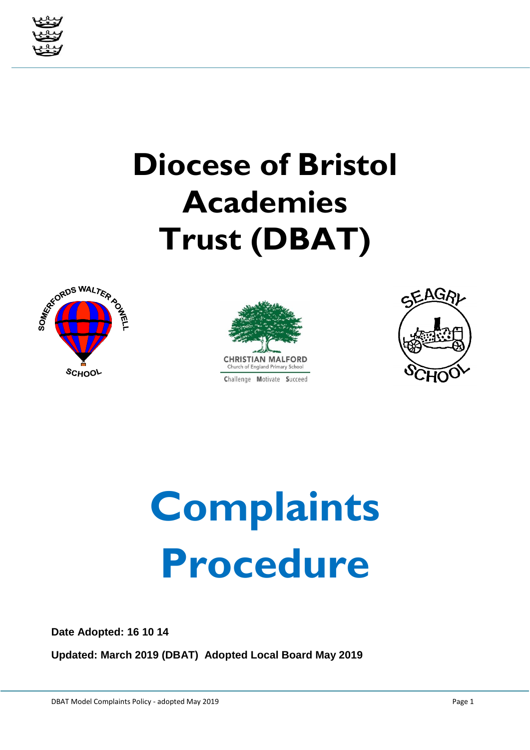

## **Diocese of Bristol Academies Trust (DBAT)**







# **Complaints Procedure**

**Date Adopted: 16 10 14**

**Updated: March 2019 (DBAT) Adopted Local Board May 2019**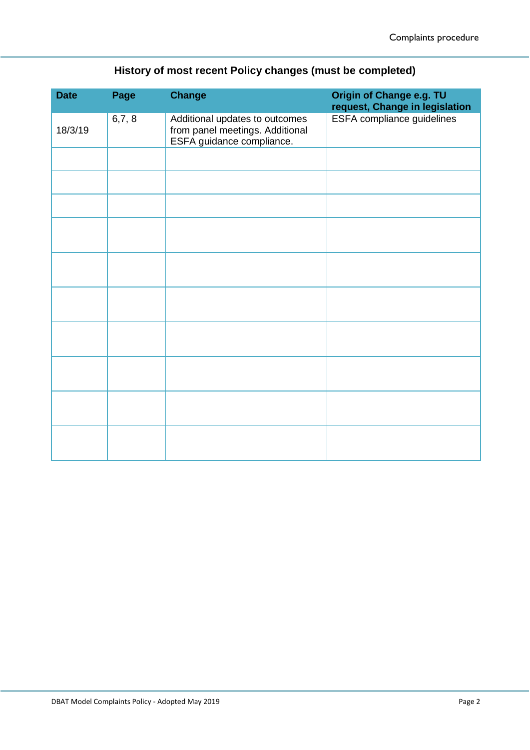| History of most recent Policy changes (must be completed) |  |
|-----------------------------------------------------------|--|
|                                                           |  |

| <b>Date</b> | Page  | <b>Change</b>                                                                                  | Origin of Change e.g. TU<br>request, Change in legislation |
|-------------|-------|------------------------------------------------------------------------------------------------|------------------------------------------------------------|
| 18/3/19     | 6,7,8 | Additional updates to outcomes<br>from panel meetings. Additional<br>ESFA guidance compliance. | ESFA compliance guidelines                                 |
|             |       |                                                                                                |                                                            |
|             |       |                                                                                                |                                                            |
|             |       |                                                                                                |                                                            |
|             |       |                                                                                                |                                                            |
|             |       |                                                                                                |                                                            |
|             |       |                                                                                                |                                                            |
|             |       |                                                                                                |                                                            |
|             |       |                                                                                                |                                                            |
|             |       |                                                                                                |                                                            |
|             |       |                                                                                                |                                                            |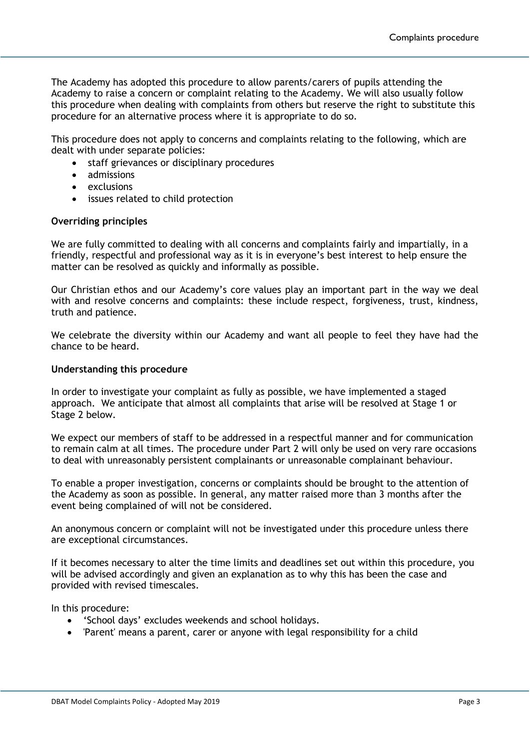The Academy has adopted this procedure to allow parents/carers of pupils attending the Academy to raise a concern or complaint relating to the Academy. We will also usually follow this procedure when dealing with complaints from others but reserve the right to substitute this procedure for an alternative process where it is appropriate to do so.

This procedure does not apply to concerns and complaints relating to the following, which are dealt with under separate policies:

- staff grievances or disciplinary procedures
- admissions
- exclusions
- issues related to child protection

#### **Overriding principles**

We are fully committed to dealing with all concerns and complaints fairly and impartially, in a friendly, respectful and professional way as it is in everyone's best interest to help ensure the matter can be resolved as quickly and informally as possible.

Our Christian ethos and our Academy's core values play an important part in the way we deal with and resolve concerns and complaints: these include respect, forgiveness, trust, kindness, truth and patience.

We celebrate the diversity within our Academy and want all people to feel they have had the chance to be heard.

#### **Understanding this procedure**

In order to investigate your complaint as fully as possible, we have implemented a staged approach. We anticipate that almost all complaints that arise will be resolved at Stage 1 or Stage 2 below.

We expect our members of staff to be addressed in a respectful manner and for communication to remain calm at all times. The procedure under Part 2 will only be used on very rare occasions to deal with unreasonably persistent complainants or unreasonable complainant behaviour.

To enable a proper investigation, concerns or complaints should be brought to the attention of the Academy as soon as possible. In general, any matter raised more than 3 months after the event being complained of will not be considered.

An anonymous concern or complaint will not be investigated under this procedure unless there are exceptional circumstances.

If it becomes necessary to alter the time limits and deadlines set out within this procedure, you will be advised accordingly and given an explanation as to why this has been the case and provided with revised timescales.

In this procedure:

- 'School days' excludes weekends and school holidays.
- 'Parent' means a parent, carer or anyone with legal responsibility for a child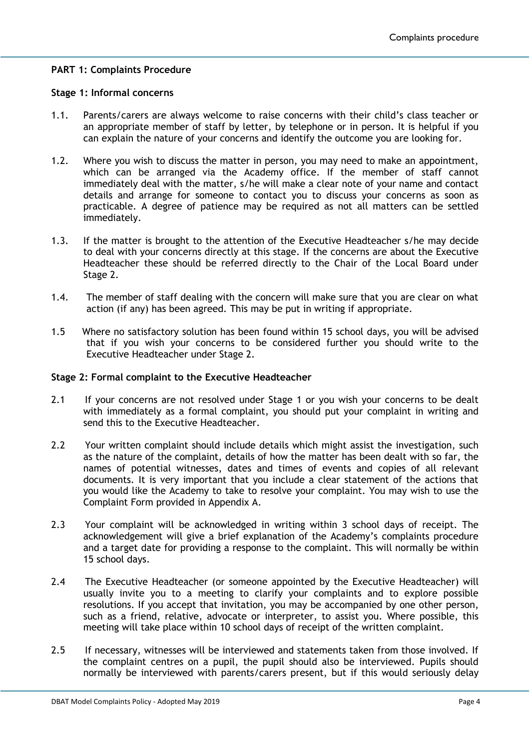#### **PART 1: Complaints Procedure**

#### **Stage 1: Informal concerns**

- 1.1. Parents/carers are always welcome to raise concerns with their child's class teacher or an appropriate member of staff by letter, by telephone or in person. It is helpful if you can explain the nature of your concerns and identify the outcome you are looking for.
- 1.2. Where you wish to discuss the matter in person, you may need to make an appointment, which can be arranged via the Academy office. If the member of staff cannot immediately deal with the matter, s/he will make a clear note of your name and contact details and arrange for someone to contact you to discuss your concerns as soon as practicable. A degree of patience may be required as not all matters can be settled immediately.
- 1.3. If the matter is brought to the attention of the Executive Headteacher s/he may decide to deal with your concerns directly at this stage. If the concerns are about the Executive Headteacher these should be referred directly to the Chair of the Local Board under Stage 2.
- 1.4. The member of staff dealing with the concern will make sure that you are clear on what action (if any) has been agreed. This may be put in writing if appropriate.
- 1.5 Where no satisfactory solution has been found within 15 school days, you will be advised that if you wish your concerns to be considered further you should write to the Executive Headteacher under Stage 2.

#### **Stage 2: Formal complaint to the Executive Headteacher**

- 2.1 If your concerns are not resolved under Stage 1 or you wish your concerns to be dealt with immediately as a formal complaint, you should put your complaint in writing and send this to the Executive Headteacher.
- 2.2 Your written complaint should include details which might assist the investigation, such as the nature of the complaint, details of how the matter has been dealt with so far, the names of potential witnesses, dates and times of events and copies of all relevant documents. It is very important that you include a clear statement of the actions that you would like the Academy to take to resolve your complaint. You may wish to use the Complaint Form provided in Appendix A.
- 2.3 Your complaint will be acknowledged in writing within 3 school days of receipt. The acknowledgement will give a brief explanation of the Academy's complaints procedure and a target date for providing a response to the complaint. This will normally be within 15 school days.
- 2.4 The Executive Headteacher (or someone appointed by the Executive Headteacher) will usually invite you to a meeting to clarify your complaints and to explore possible resolutions. If you accept that invitation, you may be accompanied by one other person, such as a friend, relative, advocate or interpreter, to assist you. Where possible, this meeting will take place within 10 school days of receipt of the written complaint.
- 2.5 If necessary, witnesses will be interviewed and statements taken from those involved. If the complaint centres on a pupil, the pupil should also be interviewed. Pupils should normally be interviewed with parents/carers present, but if this would seriously delay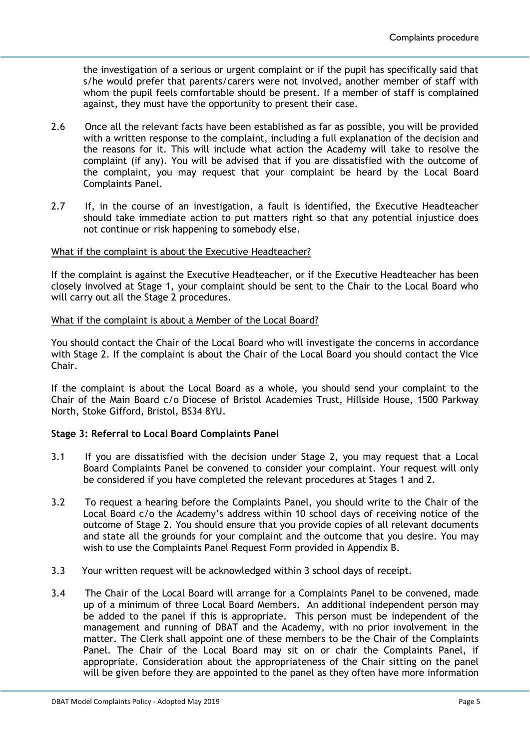the investigation of a serious or urgent complaint or if the pupil has specifically said that s/he would prefer that parents/carers were not involved, another member of staff with whom the pupil feels comfortable should be present. If a member of staff is complained against, they must have the opportunity to present their case.

- 2.6 Once all the relevant facts have been established as far as possible, you will be provided with a written response to the complaint, including a full explanation of the decision and the reasons for it. This will include what action the Academy will take to resolve the complaint (if any). You will be advised that if you are dissatisfied with the outcome of the complaint, you may request that your complaint be heard by the Local Board Complaints Panel.
- 2.7 If, in the course of an investigation, a fault is identified, the Executive Headteacher should take immediate action to put matters right so that any potential injustice does not continue or risk happening to somebody else.

#### What if the complaint is about the Executive Headteacher?

If the complaint is against the Executive Headteacher, or if the Executive Headteacher has been closely involved at Stage 1, your complaint should be sent to the Chair to the Local Board who will carry out all the Stage 2 procedures.

#### What if the complaint is about a Member of the Local Board?

You should contact the Chair of the Local Board who will investigate the concerns in accordance with Stage 2. If the complaint is about the Chair of the Local Board you should contact the Vice Chair.

If the complaint is about the Local Board as a whole, you should send your complaint to the Chair of the Main Board c/o Diocese of Bristol Academies Trust, Hillside House, 1500 Parkway North, Stoke Gifford, Bristol, BS34 8YU.

#### **Stage 3: Referral to Local Board Complaints Panel**

- 3.1 If you are dissatisfied with the decision under Stage 2, you may request that a Local Board Complaints Panel be convened to consider your complaint. Your request will only be considered if you have completed the relevant procedures at Stages 1 and 2.
- 3.2 To request a hearing before the Complaints Panel, you should write to the Chair of the Local Board c/o the Academy's address within 10 school days of receiving notice of the outcome of Stage 2. You should ensure that you provide copies of all relevant documents and state all the grounds for your complaint and the outcome that you desire. You may wish to use the Complaints Panel Request Form provided in Appendix B.
- 3.3 Your written request will be acknowledged within 3 school days of receipt.
- 3.4 The Chair of the Local Board will arrange for a Complaints Panel to be convened, made up of a minimum of three Local Board Members. An additional independent person may be added to the panel if this is appropriate. This person must be independent of the management and running of DBAT and the Academy, with no prior involvement in the matter. The Clerk shall appoint one of these members to be the Chair of the Complaints Panel. The Chair of the Local Board may sit on or chair the Complaints Panel, if appropriate. Consideration about the appropriateness of the Chair sitting on the panel will be given before they are appointed to the panel as they often have more information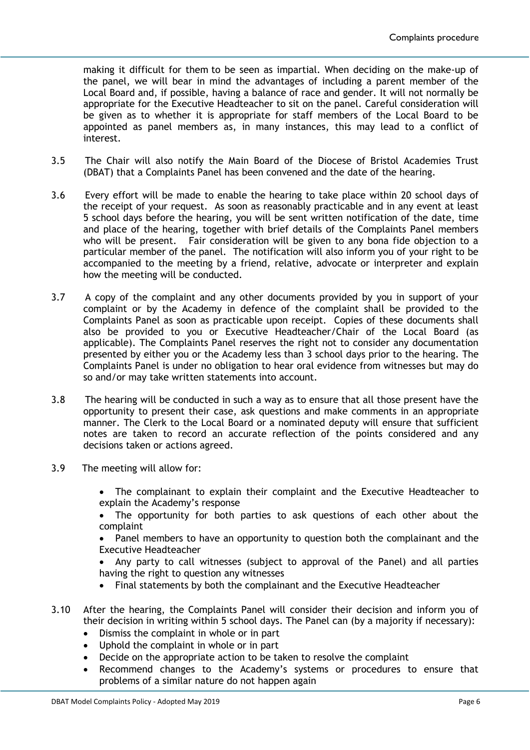making it difficult for them to be seen as impartial. When deciding on the make-up of the panel, we will bear in mind the advantages of including a parent member of the Local Board and, if possible, having a balance of race and gender. It will not normally be appropriate for the Executive Headteacher to sit on the panel. Careful consideration will be given as to whether it is appropriate for staff members of the Local Board to be appointed as panel members as, in many instances, this may lead to a conflict of interest.

- 3.5 The Chair will also notify the Main Board of the Diocese of Bristol Academies Trust (DBAT) that a Complaints Panel has been convened and the date of the hearing.
- 3.6 Every effort will be made to enable the hearing to take place within 20 school days of the receipt of your request. As soon as reasonably practicable and in any event at least 5 school days before the hearing, you will be sent written notification of the date, time and place of the hearing, together with brief details of the Complaints Panel members who will be present. Fair consideration will be given to any bona fide objection to a particular member of the panel. The notification will also inform you of your right to be accompanied to the meeting by a friend, relative, advocate or interpreter and explain how the meeting will be conducted.
- 3.7 A copy of the complaint and any other documents provided by you in support of your complaint or by the Academy in defence of the complaint shall be provided to the Complaints Panel as soon as practicable upon receipt. Copies of these documents shall also be provided to you or Executive Headteacher/Chair of the Local Board (as applicable). The Complaints Panel reserves the right not to consider any documentation presented by either you or the Academy less than 3 school days prior to the hearing. The Complaints Panel is under no obligation to hear oral evidence from witnesses but may do so and/or may take written statements into account.
- 3.8 The hearing will be conducted in such a way as to ensure that all those present have the opportunity to present their case, ask questions and make comments in an appropriate manner. The Clerk to the Local Board or a nominated deputy will ensure that sufficient notes are taken to record an accurate reflection of the points considered and any decisions taken or actions agreed.
- 3.9 The meeting will allow for:
	- The complainant to explain their complaint and the Executive Headteacher to explain the Academy's response
	- The opportunity for both parties to ask questions of each other about the complaint
	- Panel members to have an opportunity to question both the complainant and the Executive Headteacher
	- Any party to call witnesses (subject to approval of the Panel) and all parties having the right to question any witnesses
	- Final statements by both the complainant and the Executive Headteacher
- 3.10 After the hearing, the Complaints Panel will consider their decision and inform you of their decision in writing within 5 school days. The Panel can (by a majority if necessary):
	- Dismiss the complaint in whole or in part
	- Uphold the complaint in whole or in part
	- Decide on the appropriate action to be taken to resolve the complaint
	- Recommend changes to the Academy's systems or procedures to ensure that problems of a similar nature do not happen again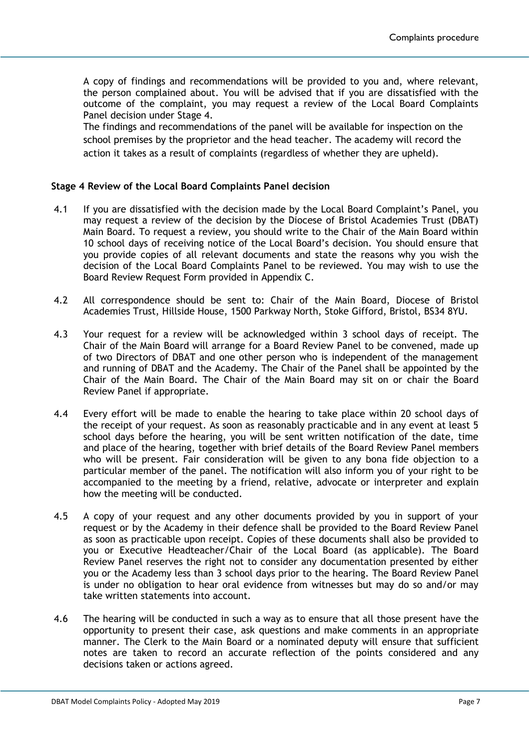A copy of findings and recommendations will be provided to you and, where relevant, the person complained about. You will be advised that if you are dissatisfied with the outcome of the complaint, you may request a review of the Local Board Complaints Panel decision under Stage 4.

The findings and recommendations of the panel will be available for inspection on the school premises by the proprietor and the head teacher. The academy will record the action it takes as a result of complaints (regardless of whether they are upheld).

#### **Stage 4 Review of the Local Board Complaints Panel decision**

- 4.1 If you are dissatisfied with the decision made by the Local Board Complaint's Panel, you may request a review of the decision by the Diocese of Bristol Academies Trust (DBAT) Main Board. To request a review, you should write to the Chair of the Main Board within 10 school days of receiving notice of the Local Board's decision. You should ensure that you provide copies of all relevant documents and state the reasons why you wish the decision of the Local Board Complaints Panel to be reviewed. You may wish to use the Board Review Request Form provided in Appendix C.
- 4.2 All correspondence should be sent to: Chair of the Main Board, Diocese of Bristol Academies Trust, Hillside House, 1500 Parkway North, Stoke Gifford, Bristol, BS34 8YU.
- 4.3 Your request for a review will be acknowledged within 3 school days of receipt. The Chair of the Main Board will arrange for a Board Review Panel to be convened, made up of two Directors of DBAT and one other person who is independent of the management and running of DBAT and the Academy. The Chair of the Panel shall be appointed by the Chair of the Main Board. The Chair of the Main Board may sit on or chair the Board Review Panel if appropriate.
- 4.4 Every effort will be made to enable the hearing to take place within 20 school days of the receipt of your request. As soon as reasonably practicable and in any event at least 5 school days before the hearing, you will be sent written notification of the date, time and place of the hearing, together with brief details of the Board Review Panel members who will be present. Fair consideration will be given to any bona fide objection to a particular member of the panel. The notification will also inform you of your right to be accompanied to the meeting by a friend, relative, advocate or interpreter and explain how the meeting will be conducted.
- 4.5 A copy of your request and any other documents provided by you in support of your request or by the Academy in their defence shall be provided to the Board Review Panel as soon as practicable upon receipt. Copies of these documents shall also be provided to you or Executive Headteacher/Chair of the Local Board (as applicable). The Board Review Panel reserves the right not to consider any documentation presented by either you or the Academy less than 3 school days prior to the hearing. The Board Review Panel is under no obligation to hear oral evidence from witnesses but may do so and/or may take written statements into account.
- 4.6 The hearing will be conducted in such a way as to ensure that all those present have the opportunity to present their case, ask questions and make comments in an appropriate manner. The Clerk to the Main Board or a nominated deputy will ensure that sufficient notes are taken to record an accurate reflection of the points considered and any decisions taken or actions agreed.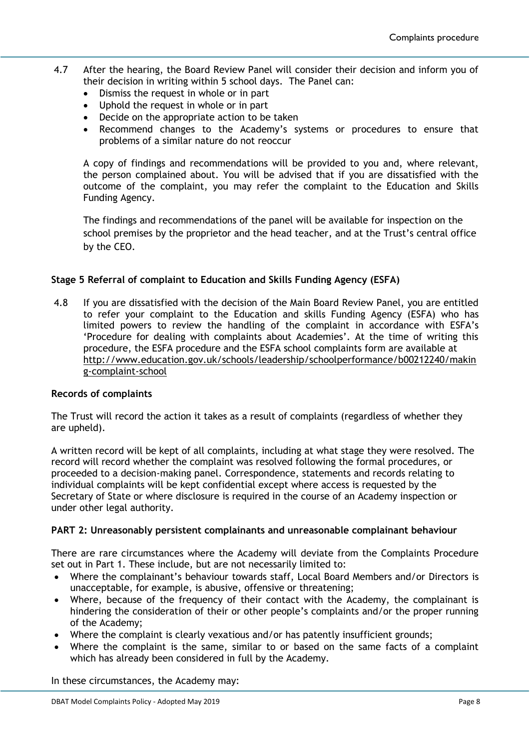- 4.7 After the hearing, the Board Review Panel will consider their decision and inform you of their decision in writing within 5 school days. The Panel can:
	- Dismiss the request in whole or in part
	- Uphold the request in whole or in part
	- Decide on the appropriate action to be taken
	- Recommend changes to the Academy's systems or procedures to ensure that problems of a similar nature do not reoccur

A copy of findings and recommendations will be provided to you and, where relevant, the person complained about. You will be advised that if you are dissatisfied with the outcome of the complaint, you may refer the complaint to the Education and Skills Funding Agency.

The findings and recommendations of the panel will be available for inspection on the school premises by the proprietor and the head teacher, and at the Trust's central office by the CEO.

### **Stage 5 Referral of complaint to Education and Skills Funding Agency (ESFA)**

4.8 If you are dissatisfied with the decision of the Main Board Review Panel, you are entitled to refer your complaint to the Education and skills Funding Agency (ESFA) who has limited powers to review the handling of the complaint in accordance with ESFA's 'Procedure for dealing with complaints about Academies'. At the time of writing this procedure, the ESFA procedure and the ESFA school complaints form are available at [http://www.education.gov.uk/schools/leadership/schoolperformance/b00212240/makin](http://www.education.gov.uk/schools/leadership/schoolperformance/b00212240/making-complaint-school) [g-complaint-school](http://www.education.gov.uk/schools/leadership/schoolperformance/b00212240/making-complaint-school)

#### **Records of complaints**

The Trust will record the action it takes as a result of complaints (regardless of whether they are upheld).

A written record will be kept of all complaints, including at what stage they were resolved. The record will record whether the complaint was resolved following the formal procedures, or proceeded to a decision-making panel. Correspondence, statements and records relating to individual complaints will be kept confidential except where access is requested by the Secretary of State or where disclosure is required in the course of an Academy inspection or under other legal authority.

#### **PART 2: Unreasonably persistent complainants and unreasonable complainant behaviour**

There are rare circumstances where the Academy will deviate from the Complaints Procedure set out in Part 1. These include, but are not necessarily limited to:

- Where the complainant's behaviour towards staff, Local Board Members and/or Directors is unacceptable, for example, is abusive, offensive or threatening;
- Where, because of the frequency of their contact with the Academy, the complainant is hindering the consideration of their or other people's complaints and/or the proper running of the Academy;
- Where the complaint is clearly vexatious and/or has patently insufficient grounds;
- Where the complaint is the same, similar to or based on the same facts of a complaint which has already been considered in full by the Academy.

In these circumstances, the Academy may: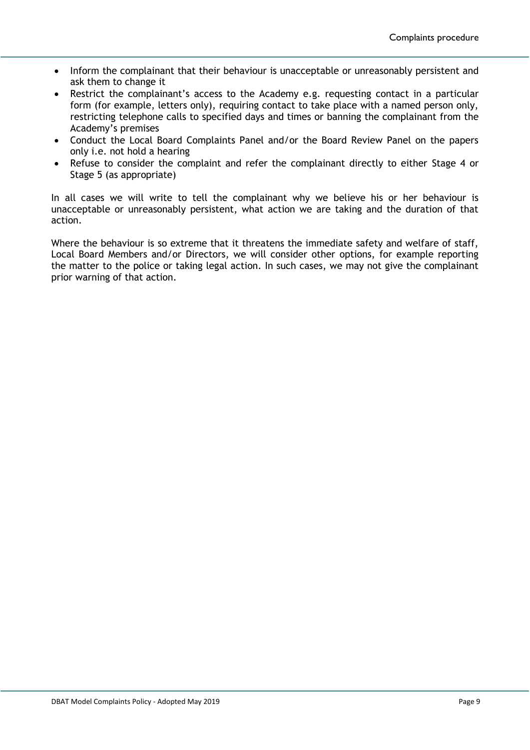- Inform the complainant that their behaviour is unacceptable or unreasonably persistent and ask them to change it
- Restrict the complainant's access to the Academy e.g. requesting contact in a particular form (for example, letters only), requiring contact to take place with a named person only, restricting telephone calls to specified days and times or banning the complainant from the Academy's premises
- Conduct the Local Board Complaints Panel and/or the Board Review Panel on the papers only i.e. not hold a hearing
- Refuse to consider the complaint and refer the complainant directly to either Stage 4 or Stage 5 (as appropriate)

In all cases we will write to tell the complainant why we believe his or her behaviour is unacceptable or unreasonably persistent, what action we are taking and the duration of that action.

Where the behaviour is so extreme that it threatens the immediate safety and welfare of staff, Local Board Members and/or Directors, we will consider other options, for example reporting the matter to the police or taking legal action. In such cases, we may not give the complainant prior warning of that action.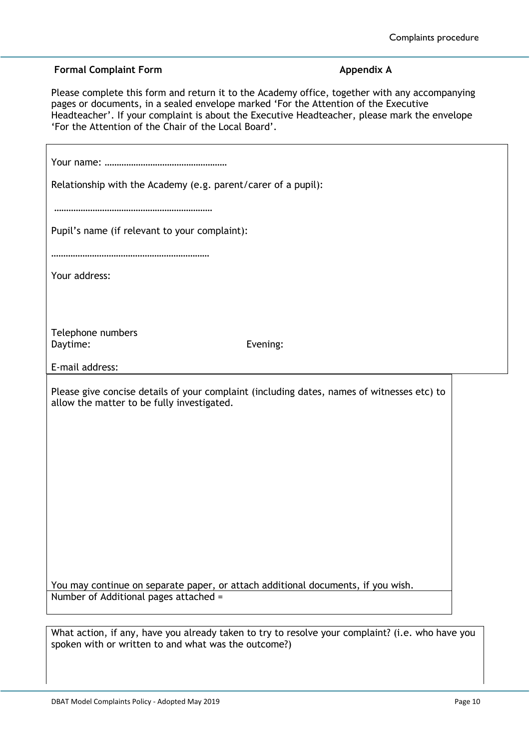#### **Formal Complaint Form Appendix A**

r

Please complete this form and return it to the Academy office, together with any accompanying pages or documents, in a sealed envelope marked 'For the Attention of the Executive Headteacher'. If your complaint is about the Executive Headteacher, please mark the envelope 'For the Attention of the Chair of the Local Board'.

| Relationship with the Academy (e.g. parent/carer of a pupil):                                                             |                                                                                            |  |
|---------------------------------------------------------------------------------------------------------------------------|--------------------------------------------------------------------------------------------|--|
| Pupil's name (if relevant to your complaint):                                                                             |                                                                                            |  |
| Your address:                                                                                                             |                                                                                            |  |
|                                                                                                                           |                                                                                            |  |
| Telephone numbers<br>Daytime:                                                                                             | Evening:                                                                                   |  |
| E-mail address:                                                                                                           |                                                                                            |  |
| allow the matter to be fully investigated.                                                                                | Please give concise details of your complaint (including dates, names of witnesses etc) to |  |
|                                                                                                                           |                                                                                            |  |
|                                                                                                                           |                                                                                            |  |
|                                                                                                                           |                                                                                            |  |
|                                                                                                                           |                                                                                            |  |
|                                                                                                                           |                                                                                            |  |
|                                                                                                                           |                                                                                            |  |
|                                                                                                                           |                                                                                            |  |
| You may continue on separate paper, or attach additional documents, if you wish.<br>Number of Additional pages attached = |                                                                                            |  |
|                                                                                                                           |                                                                                            |  |

What action, if any, have you already taken to try to resolve your complaint? (i.e. who have you spoken with or written to and what was the outcome?)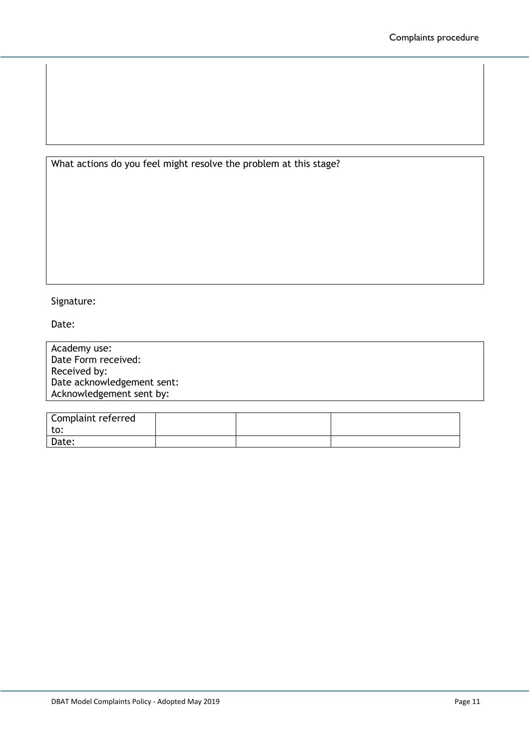What actions do you feel might resolve the problem at this stage?

## Signature:

Date:

| Academy use:               |  |
|----------------------------|--|
| Date Form received:        |  |
| Received by:               |  |
| Date acknowledgement sent: |  |
| Acknowledgement sent by:   |  |
|                            |  |

| Complaint referred |  |  |
|--------------------|--|--|
| to:                |  |  |
| Date:              |  |  |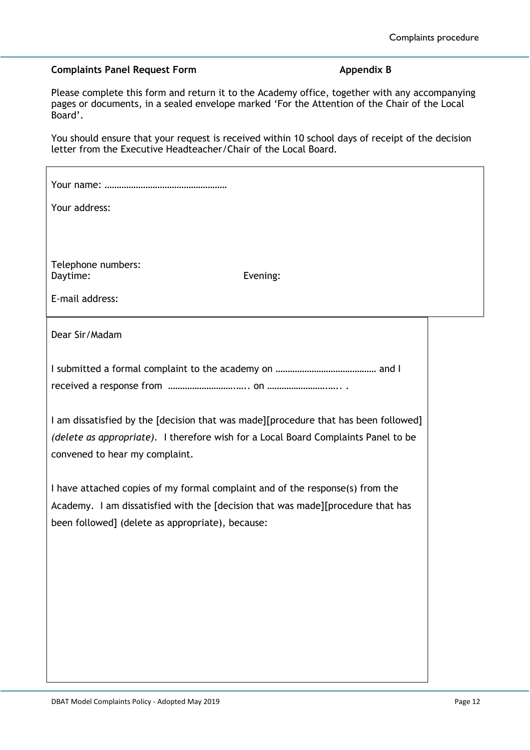### **Complaints Panel Request Form Appendix B**

Please complete this form and return it to the Academy office, together with any accompanying pages or documents, in a sealed envelope marked 'For the Attention of the Chair of the Local Board'.

You should ensure that your request is received within 10 school days of receipt of the decision letter from the Executive Headteacher/Chair of the Local Board.

| Your address:                                                                                                                                                                                                        |  |
|----------------------------------------------------------------------------------------------------------------------------------------------------------------------------------------------------------------------|--|
|                                                                                                                                                                                                                      |  |
| Telephone numbers:<br>Daytime:<br>Evening:<br>E-mail address:                                                                                                                                                        |  |
|                                                                                                                                                                                                                      |  |
| Dear Sir/Madam                                                                                                                                                                                                       |  |
|                                                                                                                                                                                                                      |  |
| I am dissatisfied by the [decision that was made][procedure that has been followed]<br>(delete as appropriate). I therefore wish for a Local Board Complaints Panel to be<br>convened to hear my complaint.          |  |
| I have attached copies of my formal complaint and of the response(s) from the<br>Academy. I am dissatisfied with the [decision that was made][procedure that has<br>been followed] (delete as appropriate), because: |  |
|                                                                                                                                                                                                                      |  |
|                                                                                                                                                                                                                      |  |
|                                                                                                                                                                                                                      |  |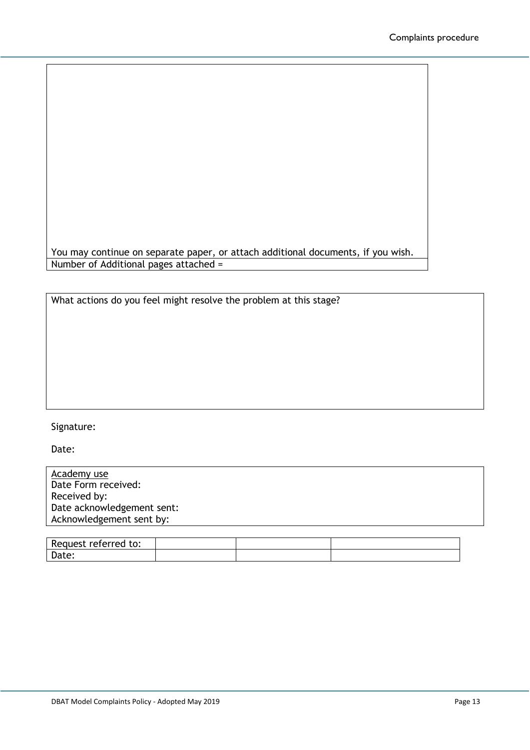You may continue on separate paper, or attach additional documents, if you wish. Number of Additional pages attached =

What actions do you feel might resolve the problem at this stage?

#### Signature:

Date:

| Academy use                |  |
|----------------------------|--|
| Date Form received:        |  |
| Received by:               |  |
| Date acknowledgement sent: |  |
| Acknowledgement sent by:   |  |
|                            |  |

| Re<br>reterred<br>to:<br>. <b>.</b><br><b>12900</b> |  |  |
|-----------------------------------------------------|--|--|
| Date.                                               |  |  |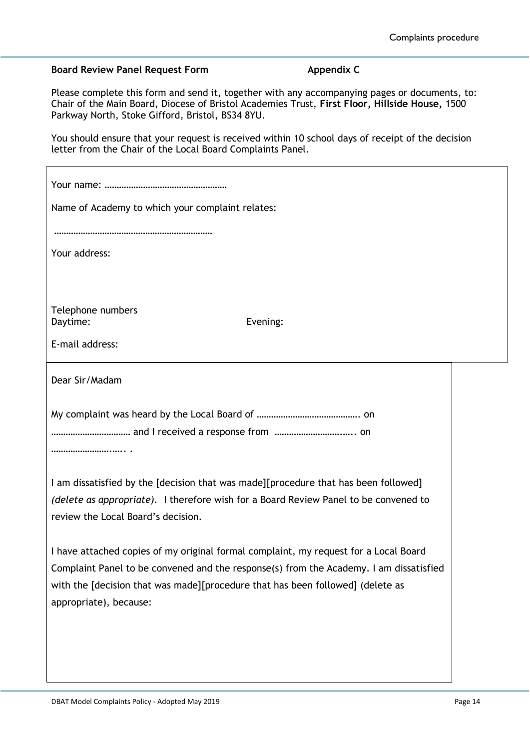#### **Board Review Panel Request Form <b>Appendix C**

Please complete this form and send it, together with any accompanying pages or documents, to: Chair of the Main Board, Diocese of Bristol Academies Trust, **First Floor, Hillside House,** 1500 Parkway North, Stoke Gifford, Bristol, BS34 8YU.

You should ensure that your request is received within 10 school days of receipt of the decision letter from the Chair of the Local Board Complaints Panel.

| Name of Academy to which your complaint relates:                                                                           |  |
|----------------------------------------------------------------------------------------------------------------------------|--|
| Your address:                                                                                                              |  |
| Telephone numbers                                                                                                          |  |
| Evening:<br>Daytime:                                                                                                       |  |
| E-mail address:                                                                                                            |  |
| Dear Sir/Madam                                                                                                             |  |
|                                                                                                                            |  |
| and I received a response from  on                                                                                         |  |
|                                                                                                                            |  |
| I am dissatisfied by the [decision that was made][procedure that has been followed]                                        |  |
| (delete as appropriate). I therefore wish for a Board Review Panel to be convened to<br>review the Local Board's decision. |  |
| I have attached copies of my original formal complaint, my request for a Local Board                                       |  |
| Complaint Panel to be convened and the response(s) from the Academy. I am dissatisfied                                     |  |
| with the [decision that was made][procedure that has been followed] (delete as                                             |  |
| appropriate), because:                                                                                                     |  |
|                                                                                                                            |  |
|                                                                                                                            |  |
|                                                                                                                            |  |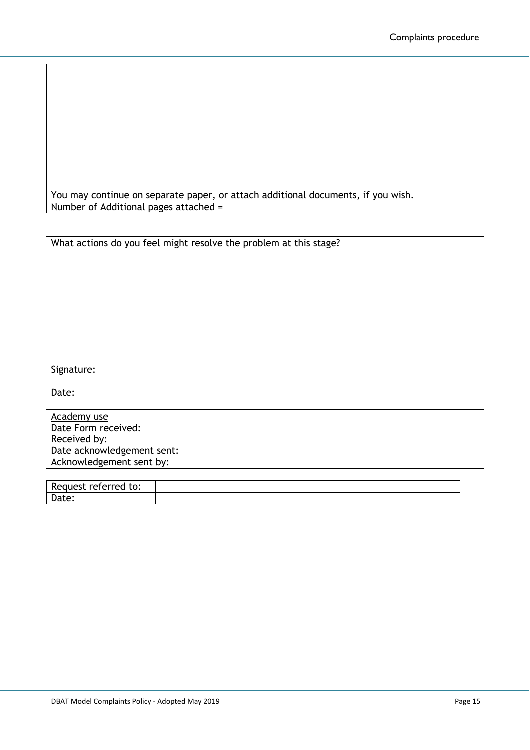You may continue on separate paper, or attach additional documents, if you wish. Number of Additional pages attached =

| What actions do you feel might resolve the problem at this stage? |
|-------------------------------------------------------------------|
|-------------------------------------------------------------------|

## Signature:

Date:

| Academy use                |  |
|----------------------------|--|
| Date Form received:        |  |
| Received by:               |  |
| Date acknowledgement sent: |  |
| Acknowledgement sent by:   |  |
|                            |  |

| R≏<br>auest referred to: |  |  |
|--------------------------|--|--|
| -<br>Date:               |  |  |